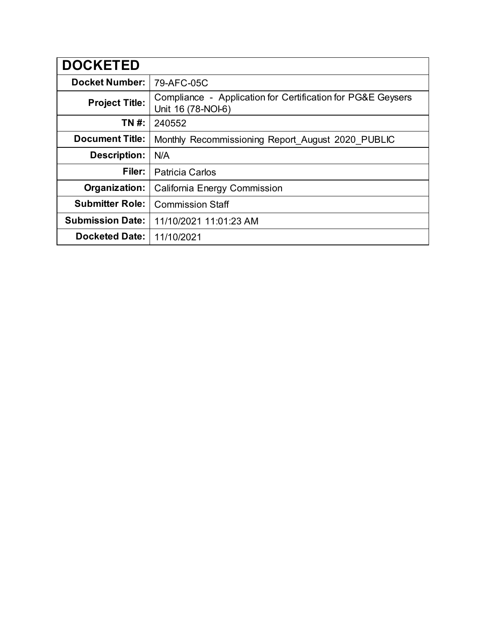| <b>DOCKETED</b>         |                                                                                   |
|-------------------------|-----------------------------------------------------------------------------------|
| <b>Docket Number:</b>   | 79-AFC-05C                                                                        |
| <b>Project Title:</b>   | Compliance - Application for Certification for PG&E Geysers<br>Unit 16 (78-NOI-6) |
| TN #:                   | 240552                                                                            |
| <b>Document Title:</b>  | Monthly Recommissioning Report_August 2020_PUBLIC                                 |
| <b>Description:</b>     | N/A                                                                               |
| Filer:                  | <b>Patricia Carlos</b>                                                            |
| Organization:           | California Energy Commission                                                      |
| <b>Submitter Role:</b>  | <b>Commission Staff</b>                                                           |
| <b>Submission Date:</b> | 11/10/2021 11:01:23 AM                                                            |
| <b>Docketed Date:</b>   | 11/10/2021                                                                        |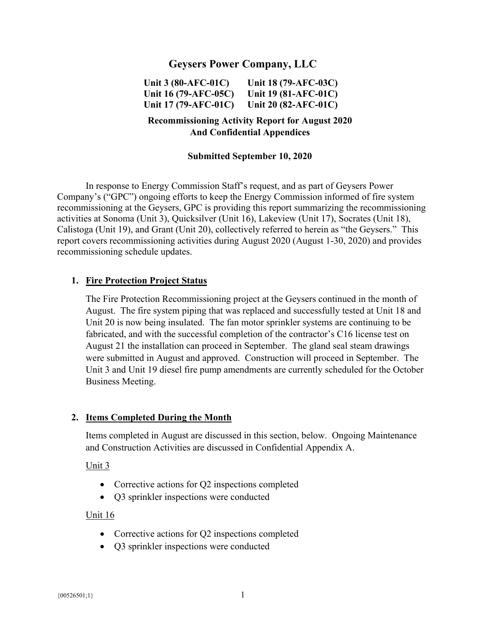# **Geysers Power Company, LLC**

**Unit 3 (80-AFC-01C) Unit 16 (79-AFC-05C) Unit 17 (79-AFC-01C) Unit 18 (79-AFC-03C) Unit 19 (81-AFC-01C) Unit 20 (82-AFC-01C)** 

# **Recommissioning Activity Report for August 2020 And Confidential Appendices**

#### **Submitted September 10, 2020**

In response to Energy Commission Staff's request, and as part of Geysers Power Company's ("GPC") ongoing efforts to keep the Energy Commission informed of fire system recommissioning at the Geysers, GPC is providing this report summarizing the recommissioning activities at Sonoma (Unit 3), Quicksilver (Unit 16), Lakeview (Unit 17), Socrates (Unit 18), Calistoga (Unit 19), and Grant (Unit 20), collectively referred to herein as "the Geysers." This report covers recommissioning activities during August 2020 (August 1-30, 2020) and provides recommissioning schedule updates.

#### **1. Fire Protection Project Status**

The Fire Protection Recommissioning project at the Geysers continued in the month of August. The fire system piping that was replaced and successfully tested at Unit 18 and Unit 20 is now being insulated. The fan motor sprinkler systems are continuing to be fabricated, and with the successful completion of the contractor's C16 license test on August 21 the installation can proceed in September. The gland seal steam drawings were submitted in August and approved. Construction will proceed in September. The Unit 3 and Unit 19 diesel fire pump amendments are currently scheduled for the October Business Meeting.

#### **2. Items Completed During the Month**

Items completed in August are discussed in this section, below. Ongoing Maintenance and Construction Activities are discussed in Confidential Appendix A.

#### Unit 3

- Corrective actions for Q2 inspections completed
- Q3 sprinkler inspections were conducted

#### Unit 16

- Corrective actions for Q2 inspections completed
- Q3 sprinkler inspections were conducted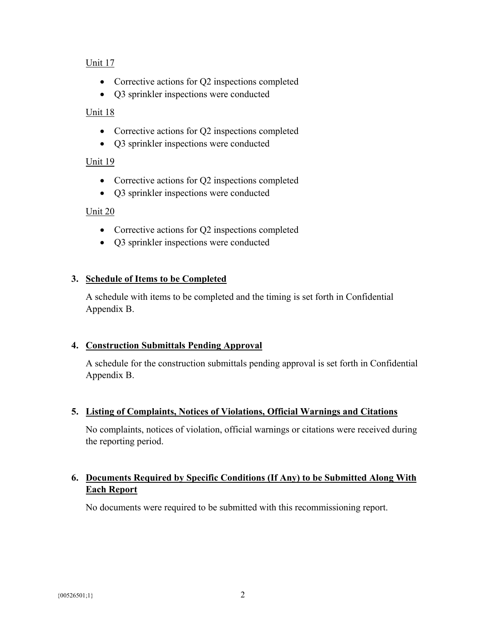## Unit 17

- Corrective actions for Q2 inspections completed
- Q3 sprinkler inspections were conducted

## Unit 18

- Corrective actions for Q2 inspections completed
- Q3 sprinkler inspections were conducted

## Unit 19

- Corrective actions for Q2 inspections completed
- Q3 sprinkler inspections were conducted

### Unit 20

- Corrective actions for Q2 inspections completed
- Q3 sprinkler inspections were conducted

## **3. Schedule of Items to be Completed**

A schedule with items to be completed and the timing is set forth in Confidential Appendix B.

#### **4. Construction Submittals Pending Approval**

A schedule for the construction submittals pending approval is set forth in Confidential Appendix B.

## **5. Listing of Complaints, Notices of Violations, Official Warnings and Citations**

No complaints, notices of violation, official warnings or citations were received during the reporting period.

# **6. Documents Required by Specific Conditions (If Any) to be Submitted Along With Each Report**

No documents were required to be submitted with this recommissioning report.